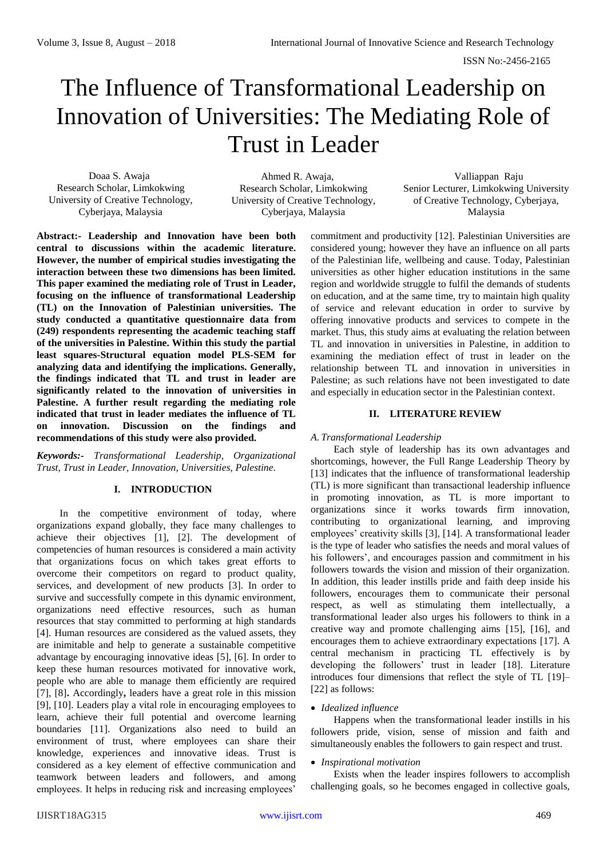# The Influence of Transformational Leadership on Innovation of Universities: The Mediating Role of Trust in Leader

Doaa S. Awaja Research Scholar, Limkokwing University of Creative Technology, Cyberjaya, Malaysia

Ahmed R. Awaja, Research Scholar, Limkokwing University of Creative Technology, Cyberjaya, Malaysia

Valliappan Raju Senior Lecturer, Limkokwing University of Creative Technology, Cyberjaya, Malaysia

**Abstract:- Leadership and Innovation have been both central to discussions within the academic literature. However, the number of empirical studies investigating the interaction between these two dimensions has been limited. This paper examined the mediating role of Trust in Leader, focusing on the influence of transformational Leadership (TL) on the Innovation of Palestinian universities. The study conducted a quantitative questionnaire data from (249) respondents representing the academic teaching staff of the universities in Palestine. Within this study the partial least squares-Structural equation model PLS-SEM for analyzing data and identifying the implications. Generally, the findings indicated that TL and trust in leader are significantly related to the innovation of universities in Palestine. A further result regarding the mediating role indicated that trust in leader mediates the influence of TL on innovation. Discussion on the findings and recommendations of this study were also provided.**

*Keywords:- Transformational Leadership, Organizational Trust, Trust in Leader, Innovation, Universities, Palestine.*

# **I. INTRODUCTION**

In the competitive environment of today, where organizations expand globally, they face many challenges to achieve their objectives [1], [2]. The development of competencies of human resources is considered a main activity that organizations focus on which takes great efforts to overcome their competitors on regard to product quality, services, and development of new products [3]. In order to survive and successfully compete in this dynamic environment, organizations need effective resources, such as human resources that stay committed to performing at high standards [4]. Human resources are considered as the valued assets, they are inimitable and help to generate a sustainable competitive advantage by encouraging innovative ideas [5], [6]. In order to keep these human resources motivated for innovative work, people who are able to manage them efficiently are required [7], [8]**.** Accordingly**,** leaders have a great role in this mission [9], [10]. Leaders play a vital role in encouraging employees to learn, achieve their full potential and overcome learning boundaries [11]. Organizations also need to build an environment of trust, where employees can share their knowledge, experiences and innovative ideas. Trust is considered as a key element of effective communication and teamwork between leaders and followers, and among employees. It helps in reducing risk and increasing employees'

commitment and productivity [12]. Palestinian Universities are considered young; however they have an influence on all parts of the Palestinian life, wellbeing and cause. Today, Palestinian universities as other higher education institutions in the same region and worldwide struggle to fulfil the demands of students on education, and at the same time, try to maintain high quality of service and relevant education in order to survive by offering innovative products and services to compete in the market. Thus, this study aims at evaluating the relation between TL and innovation in universities in Palestine, in addition to examining the mediation effect of trust in leader on the relationship between TL and innovation in universities in Palestine; as such relations have not been investigated to date and especially in education sector in the Palestinian context.

# **II. LITERATURE REVIEW**

# *A. Transformational Leadership*

Each style of leadership has its own advantages and shortcomings, however, the Full Range Leadership Theory by [13] indicates that the influence of transformational leadership (TL) is more significant than transactional leadership influence in promoting innovation, as TL is more important to organizations since it works towards firm innovation, contributing to organizational learning, and improving employees' creativity skills [3], [14]. A transformational leader is the type of leader who satisfies the needs and moral values of his followers', and encourages passion and commitment in his followers towards the vision and mission of their organization. In addition, this leader instills pride and faith deep inside his followers, encourages them to communicate their personal respect, as well as stimulating them intellectually, a transformational leader also urges his followers to think in a creative way and promote challenging aims [15], [16], and encourages them to achieve extraordinary expectations [17]. A central mechanism in practicing TL effectively is by developing the followers' trust in leader [18]. Literature introduces four dimensions that reflect the style of TL [19]– [22] as follows:

# *Idealized influence*

Happens when the transformational leader instills in his followers pride, vision, sense of mission and faith and simultaneously enables the followers to gain respect and trust.

# *Inspirational motivation*

Exists when the leader inspires followers to accomplish challenging goals, so he becomes engaged in collective goals,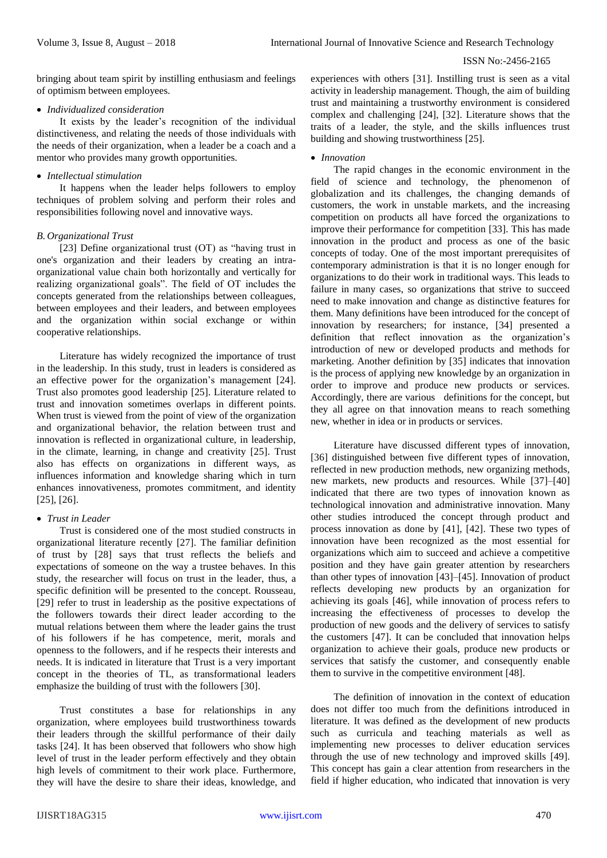bringing about team spirit by instilling enthusiasm and feelings of optimism between employees.

## *Individualized consideration*

It exists by the leader's recognition of the individual distinctiveness, and relating the needs of those individuals with the needs of their organization, when a leader be a coach and a mentor who provides many growth opportunities.

## *Intellectual stimulation*

It happens when the leader helps followers to employ techniques of problem solving and perform their roles and responsibilities following novel and innovative ways.

## *B. Organizational Trust*

[23] Define organizational trust (OT) as "having trust in one's organization and their leaders by creating an intraorganizational value chain both horizontally and vertically for realizing organizational goals". The field of OT includes the concepts generated from the relationships between colleagues, between employees and their leaders, and between employees and the organization within social exchange or within cooperative relationships.

Literature has widely recognized the importance of trust in the leadership. In this study, trust in leaders is considered as an effective power for the organization's management [24]. Trust also promotes good leadership [25]. Literature related to trust and innovation sometimes overlaps in different points. When trust is viewed from the point of view of the organization and organizational behavior, the relation between trust and innovation is reflected in organizational culture, in leadership, in the climate, learning, in change and creativity [25]. Trust also has effects on organizations in different ways, as influences information and knowledge sharing which in turn enhances innovativeness, promotes commitment, and identity [25], [26].

# *Trust in Leader*

Trust is considered one of the most studied constructs in organizational literature recently [27]. The familiar definition of trust by [28] says that trust reflects the beliefs and expectations of someone on the way a trustee behaves. In this study, the researcher will focus on trust in the leader, thus, a specific definition will be presented to the concept. Rousseau, [29] refer to trust in leadership as the positive expectations of the followers towards their direct leader according to the mutual relations between them where the leader gains the trust of his followers if he has competence, merit, morals and openness to the followers, and if he respects their interests and needs. It is indicated in literature that Trust is a very important concept in the theories of TL, as transformational leaders emphasize the building of trust with the followers [30].

Trust constitutes a base for relationships in any organization, where employees build trustworthiness towards their leaders through the skillful performance of their daily tasks [24]. It has been observed that followers who show high level of trust in the leader perform effectively and they obtain high levels of commitment to their work place. Furthermore, they will have the desire to share their ideas, knowledge, and experiences with others [31]. Instilling trust is seen as a vital activity in leadership management. Though, the aim of building trust and maintaining a trustworthy environment is considered complex and challenging [24], [32]. Literature shows that the traits of a leader, the style, and the skills influences trust building and showing trustworthiness [25].

## *Innovation*

The rapid changes in the economic environment in the field of science and technology, the phenomenon of globalization and its challenges, the changing demands of customers, the work in unstable markets, and the increasing competition on products all have forced the organizations to improve their performance for competition [33]. This has made innovation in the product and process as one of the basic concepts of today. One of the most important prerequisites of contemporary administration is that it is no longer enough for organizations to do their work in traditional ways. This leads to failure in many cases, so organizations that strive to succeed need to make innovation and change as distinctive features for them. Many definitions have been introduced for the concept of innovation by researchers; for instance, [34] presented a definition that reflect innovation as the organization's introduction of new or developed products and methods for marketing. Another definition by [35] indicates that innovation is the process of applying new knowledge by an organization in order to improve and produce new products or services. Accordingly, there are various definitions for the concept, but they all agree on that innovation means to reach something new, whether in idea or in products or services.

Literature have discussed different types of innovation, [36] distinguished between five different types of innovation, reflected in new production methods, new organizing methods, new markets, new products and resources. While [37]–[40] indicated that there are two types of innovation known as technological innovation and administrative innovation. Many other studies introduced the concept through product and process innovation as done by [41], [42]. These two types of innovation have been recognized as the most essential for organizations which aim to succeed and achieve a competitive position and they have gain greater attention by researchers than other types of innovation [43]–[45]. Innovation of product reflects developing new products by an organization for achieving its goals [46], while innovation of process refers to increasing the effectiveness of processes to develop the production of new goods and the delivery of services to satisfy the customers [47]. It can be concluded that innovation helps organization to achieve their goals, produce new products or services that satisfy the customer, and consequently enable them to survive in the competitive environment [48].

The definition of innovation in the context of education does not differ too much from the definitions introduced in literature. It was defined as the development of new products such as curricula and teaching materials as well as implementing new processes to deliver education services through the use of new technology and improved skills [49]. This concept has gain a clear attention from researchers in the field if higher education, who indicated that innovation is very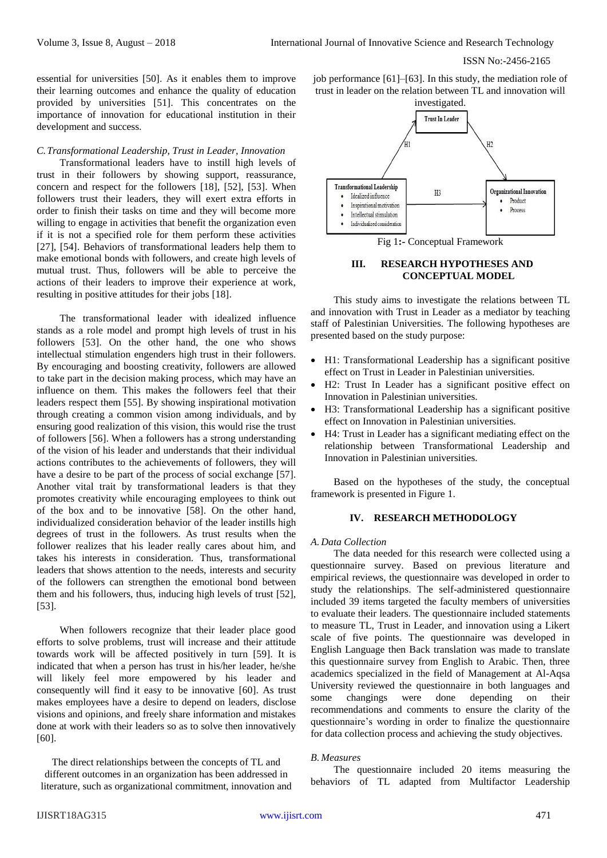essential for universities [50]. As it enables them to improve their learning outcomes and enhance the quality of education provided by universities [51]. This concentrates on the importance of innovation for educational institution in their development and success.

#### *C.Transformational Leadership, Trust in Leader, Innovation*

Transformational leaders have to instill high levels of trust in their followers by showing support, reassurance, concern and respect for the followers [18], [52], [53]. When followers trust their leaders, they will exert extra efforts in order to finish their tasks on time and they will become more willing to engage in activities that benefit the organization even if it is not a specified role for them perform these activities [27], [54]. Behaviors of transformational leaders help them to make emotional bonds with followers, and create high levels of mutual trust. Thus, followers will be able to perceive the actions of their leaders to improve their experience at work, resulting in positive attitudes for their jobs [18].

The transformational leader with idealized influence stands as a role model and prompt high levels of trust in his followers [53]. On the other hand, the one who shows intellectual stimulation engenders high trust in their followers. By encouraging and boosting creativity, followers are allowed to take part in the decision making process, which may have an influence on them. This makes the followers feel that their leaders respect them [55]. By showing inspirational motivation through creating a common vision among individuals, and by ensuring good realization of this vision, this would rise the trust of followers [56]. When a followers has a strong understanding of the vision of his leader and understands that their individual actions contributes to the achievements of followers, they will have a desire to be part of the process of social exchange [57]. Another vital trait by transformational leaders is that they promotes creativity while encouraging employees to think out of the box and to be innovative [58]. On the other hand, individualized consideration behavior of the leader instills high degrees of trust in the followers. As trust results when the follower realizes that his leader really cares about him, and takes his interests in consideration. Thus, transformational leaders that shows attention to the needs, interests and security of the followers can strengthen the emotional bond between them and his followers, thus, inducing high levels of trust [52], [53].

When followers recognize that their leader place good efforts to solve problems, trust will increase and their attitude towards work will be affected positively in turn [59]. It is indicated that when a person has trust in his/her leader, he/she will likely feel more empowered by his leader and consequently will find it easy to be innovative [60]. As trust makes employees have a desire to depend on leaders, disclose visions and opinions, and freely share information and mistakes done at work with their leaders so as to solve then innovatively [60].

The direct relationships between the concepts of TL and different outcomes in an organization has been addressed in literature, such as organizational commitment, innovation and job performance [61]–[63]. In this study, the mediation role of trust in leader on the relation between TL and innovation will



Fig 1**:-** Conceptual Framework

## **III. RESEARCH HYPOTHESES AND CONCEPTUAL MODEL**

This study aims to investigate the relations between TL and innovation with Trust in Leader as a mediator by teaching staff of Palestinian Universities. The following hypotheses are presented based on the study purpose:

- H1: Transformational Leadership has a significant positive effect on Trust in Leader in Palestinian universities.
- H2: Trust In Leader has a significant positive effect on Innovation in Palestinian universities.
- H3: Transformational Leadership has a significant positive effect on Innovation in Palestinian universities.
- H4: Trust in Leader has a significant mediating effect on the relationship between Transformational Leadership and Innovation in Palestinian universities.

Based on the hypotheses of the study, the conceptual framework is presented in Figure 1.

#### **IV. RESEARCH METHODOLOGY**

## *A. Data Collection*

The data needed for this research were collected using a questionnaire survey. Based on previous literature and empirical reviews, the questionnaire was developed in order to study the relationships. The self-administered questionnaire included 39 items targeted the faculty members of universities to evaluate their leaders. The questionnaire included statements to measure TL, Trust in Leader, and innovation using a Likert scale of five points. The questionnaire was developed in English Language then Back translation was made to translate this questionnaire survey from English to Arabic. Then, three academics specialized in the field of Management at Al-Aqsa University reviewed the questionnaire in both languages and some changings were done depending on their recommendations and comments to ensure the clarity of the questionnaire's wording in order to finalize the questionnaire for data collection process and achieving the study objectives.

#### *B. Measures*

The questionnaire included 20 items measuring the behaviors of TL adapted from Multifactor Leadership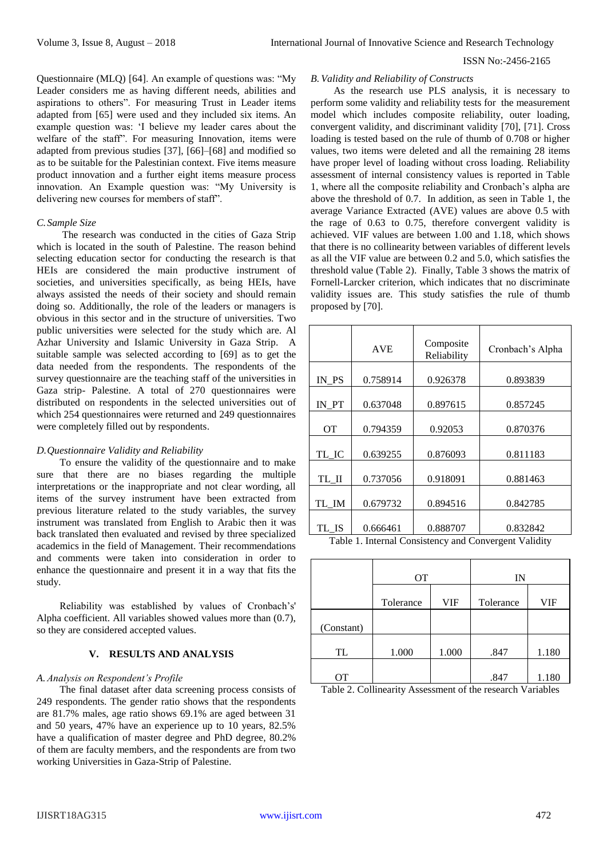Questionnaire (MLQ) [64]. An example of questions was: "My Leader considers me as having different needs, abilities and aspirations to others". For measuring Trust in Leader items adapted from [65] were used and they included six items. An example question was: 'I believe my leader cares about the welfare of the staff". For measuring Innovation, items were adapted from previous studies [37], [66]–[68] and modified so as to be suitable for the Palestinian context. Five items measure product innovation and a further eight items measure process innovation. An Example question was: "My University is delivering new courses for members of staff".

#### *C.Sample Size*

The research was conducted in the cities of Gaza Strip which is located in the south of Palestine. The reason behind selecting education sector for conducting the research is that HEIs are considered the main productive instrument of societies, and universities specifically, as being HEIs, have always assisted the needs of their society and should remain doing so. Additionally, the role of the leaders or managers is obvious in this sector and in the structure of universities. Two public universities were selected for the study which are. Al Azhar University and Islamic University in Gaza Strip. A suitable sample was selected according to [69] as to get the data needed from the respondents. The respondents of the survey questionnaire are the teaching staff of the universities in Gaza strip- Palestine. A total of 270 questionnaires were distributed on respondents in the selected universities out of which 254 questionnaires were returned and 249 questionnaires were completely filled out by respondents.

#### *D.Questionnaire Validity and Reliability*

To ensure the validity of the questionnaire and to make sure that there are no biases regarding the multiple interpretations or the inappropriate and not clear wording, all items of the survey instrument have been extracted from previous literature related to the study variables, the survey instrument was translated from English to Arabic then it was back translated then evaluated and revised by three specialized academics in the field of Management. Their recommendations and comments were taken into consideration in order to enhance the questionnaire and present it in a way that fits the study.

Reliability was established by values of Cronbach's' Alpha coefficient. All variables showed values more than (0.7), so they are considered accepted values.

#### **V. RESULTS AND ANALYSIS**

#### *A. Analysis on Respondent's Profile*

The final dataset after data screening process consists of 249 respondents. The gender ratio shows that the respondents are 81.7% males, age ratio shows 69.1% are aged between 31 and 50 years, 47% have an experience up to 10 years, 82.5% have a qualification of master degree and PhD degree, 80.2% of them are faculty members, and the respondents are from two working Universities in Gaza-Strip of Palestine.

#### *B. Validity and Reliability of Constructs*

As the research use PLS analysis, it is necessary to perform some validity and reliability tests for the measurement model which includes composite reliability, outer loading, convergent validity, and discriminant validity [70], [71]. Cross loading is tested based on the rule of thumb of 0.708 or higher values, two items were deleted and all the remaining 28 items have proper level of loading without cross loading. Reliability assessment of internal consistency values is reported in Table 1, where all the composite reliability and Cronbach's alpha are above the threshold of 0.7. In addition, as seen in Table 1, the average Variance Extracted (AVE) values are above 0.5 with the rage of 0.63 to 0.75, therefore convergent validity is achieved. VIF values are between 1.00 and 1.18, which shows that there is no collinearity between variables of different levels as all the VIF value are between 0.2 and 5.0, which satisfies the threshold value (Table 2). Finally, Table 3 shows the matrix of Fornell-Larcker criterion, which indicates that no discriminate validity issues are. This study satisfies the rule of thumb proposed by [70].

|           | <b>AVE</b> | Composite<br>Reliability | Cronbach's Alpha |  |
|-----------|------------|--------------------------|------------------|--|
| IN PS     | 0.758914   | 0.926378                 | 0.893839         |  |
| IN PT     | 0.637048   | 0.897615                 | 0.857245         |  |
| <b>OT</b> | 0.794359   | 0.92053                  | 0.870376         |  |
| TL IC     | 0.639255   | 0.876093                 | 0.811183         |  |
| TL II     | 0.737056   | 0.918091                 | 0.881463         |  |
| TL IM     | 0.679732   | 0.894516                 | 0.842785         |  |
| TL_IS     | 0.666461   | 0.888707                 | 0.832842         |  |

Table 1. Internal Consistency and Convergent Validity

|            | <b>OT</b> |            | IN        |       |  |
|------------|-----------|------------|-----------|-------|--|
|            | Tolerance | <b>VIF</b> | Tolerance | VIF   |  |
| (Constant) |           |            |           |       |  |
| TL         | 1.000     | 1.000      | .847      | 1.180 |  |
| OТ         |           |            | .847      | 1.180 |  |

Table 2. Collinearity Assessment of the research Variables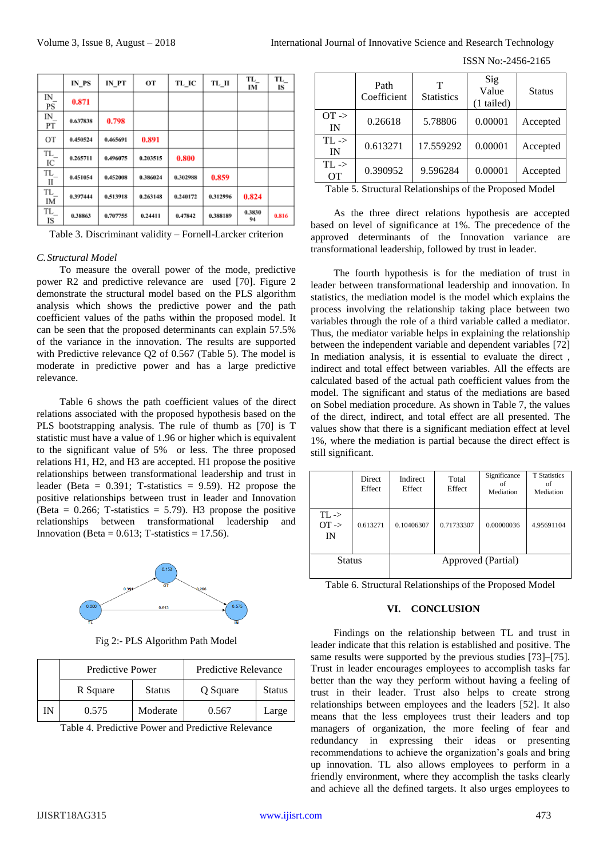ISSN No:-2456-2165

|                                   | IN PS    | IN PT    | OТ       | TL IC    | TL II    | TL_<br>IM    | TL.<br>IS |
|-----------------------------------|----------|----------|----------|----------|----------|--------------|-----------|
| IN<br>PS                          | 0.871    |          |          |          |          |              |           |
| IN_<br>PТ                         | 0.637838 | 0.798    |          |          |          |              |           |
| OT                                | 0.450524 | 0.465691 | 0.891    |          |          |              |           |
| TL_<br>IС                         | 0.265711 | 0.496075 | 0.203515 | 0.800    |          |              |           |
| $\ensuremath{\text{TL}}_{-}$<br>П | 0.451054 | 0.452008 | 0.386024 | 0.302988 | 0.859    |              |           |
| TL<br>IM                          | 0.397444 | 0.513918 | 0.263148 | 0.240172 | 0.312996 | 0.824        |           |
| TL<br>IS                          | 0.38863  | 0,707755 | 0.24411  | 0,47842  | 0.388189 | 0.3830<br>94 | 0.816     |

Table 3. Discriminant validity – Fornell-Larcker criterion

#### *C.Structural Model*

To measure the overall power of the mode, predictive power R2 and predictive relevance are used [70]. Figure 2 demonstrate the structural model based on the PLS algorithm analysis which shows the predictive power and the path coefficient values of the paths within the proposed model. It can be seen that the proposed determinants can explain 57.5% of the variance in the innovation. The results are supported with Predictive relevance Q2 of 0.567 (Table 5). The model is moderate in predictive power and has a large predictive relevance.

Table 6 shows the path coefficient values of the direct relations associated with the proposed hypothesis based on the PLS bootstrapping analysis. The rule of thumb as [70] is T statistic must have a value of 1.96 or higher which is equivalent to the significant value of 5% or less. The three proposed relations H1, H2, and H3 are accepted. H1 propose the positive relationships between transformational leadership and trust in leader (Beta =  $0.391$ ; T-statistics =  $9.59$ ). H<sub>2</sub> propose the positive relationships between trust in leader and Innovation (Beta =  $0.266$ ; T-statistics = 5.79). H3 propose the positive relationships between transformational leadership and Innovation (Beta =  $0.613$ ; T-statistics = 17.56).



Fig 2:- PLS Algorithm Path Model

| <b>Predictive Power</b> |               | Predictive Relevance |               |
|-------------------------|---------------|----------------------|---------------|
| R Square                | <b>Status</b> | Q Square             | <b>Status</b> |
| 0.575                   | Moderate      | 0.567                | Large         |

Table 4. Predictive Power and Predictive Relevance

|                               | Path<br>Coefficient | т<br><b>Statistics</b> | Sig<br>Value<br>$(1 \text{ tailed})$ | Status   |
|-------------------------------|---------------------|------------------------|--------------------------------------|----------|
| $OT \rightarrow$<br>IN        | 0.26618             | 5.78806                | 0.00001                              | Accepted |
| $TL \rightarrow$<br>IN        | 0.613271            | 17.559292              | 0.00001                              | Accepted |
| $TL \rightarrow$<br><b>OT</b> | 0.390952            | 9.596284               | 0.00001                              | Accepted |
|                               |                     |                        |                                      |          |

Table 5. Structural Relationships of the Proposed Model

As the three direct relations hypothesis are accepted based on level of significance at 1%. The precedence of the approved determinants of the Innovation variance are transformational leadership, followed by trust in leader.

The fourth hypothesis is for the mediation of trust in leader between transformational leadership and innovation. In statistics, the mediation model is the model which explains the process involving the relationship taking place between two variables through the role of a third variable called a mediator. Thus, the mediator variable helps in explaining the relationship between the independent variable and dependent variables [72] In mediation analysis, it is essential to evaluate the direct , indirect and total effect between variables. All the effects are calculated based of the actual path coefficient values from the model. The significant and status of the mediations are based on Sobel mediation procedure. As shown in Table 7, the values of the direct, indirect, and total effect are all presented. The values show that there is a significant mediation effect at level 1%, where the mediation is partial because the direct effect is still significant.

|                                   | <b>Direct</b><br>Effect | Indirect<br>Effect | Total<br>Effect | Significance<br>of<br>Mediation | <b>T</b> Statistics<br>of<br>Mediation |
|-----------------------------------|-------------------------|--------------------|-----------------|---------------------------------|----------------------------------------|
| $TL$ -><br>$OT \rightarrow$<br>IN | 0.613271                | 0.10406307         | 0.71733307      | 0.00000036                      | 4.95691104                             |
| <b>Status</b>                     |                         | Approved (Partial) |                 |                                 |                                        |

Table 6. Structural Relationships of the Proposed Model

## **VI. CONCLUSION**

Findings on the relationship between TL and trust in leader indicate that this relation is established and positive. The same results were supported by the previous studies [73]–[75]. Trust in leader encourages employees to accomplish tasks far better than the way they perform without having a feeling of trust in their leader. Trust also helps to create strong relationships between employees and the leaders [52]. It also means that the less employees trust their leaders and top managers of organization, the more feeling of fear and redundancy in expressing their ideas or presenting recommendations to achieve the organization's goals and bring up innovation. TL also allows employees to perform in a friendly environment, where they accomplish the tasks clearly and achieve all the defined targets. It also urges employees to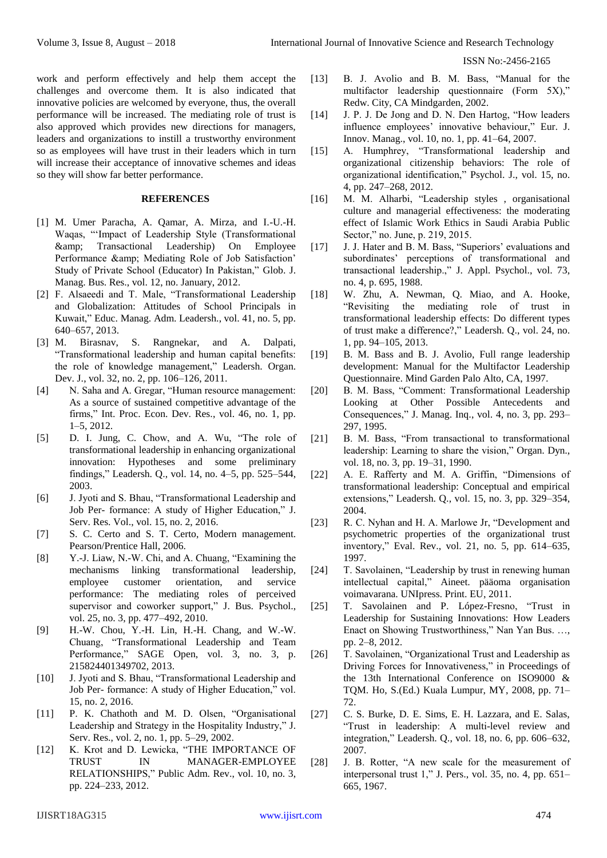work and perform effectively and help them accept the challenges and overcome them. It is also indicated that innovative policies are welcomed by everyone, thus, the overall performance will be increased. The mediating role of trust is also approved which provides new directions for managers, leaders and organizations to instill a trustworthy environment so as employees will have trust in their leaders which in turn will increase their acceptance of innovative schemes and ideas so they will show far better performance.

## **REFERENCES**

- [1] M. Umer Paracha, A. Qamar, A. Mirza, and I.-U.-H. Waqas, "'Impact of Leadership Style (Transformational & Transactional Leadership) On Employee Performance & amp; Mediating Role of Job Satisfaction' Study of Private School (Educator) In Pakistan," Glob. J. Manag. Bus. Res., vol. 12, no. January, 2012.
- [2] F. Alsaeedi and T. Male, "Transformational Leadership and Globalization: Attitudes of School Principals in Kuwait," Educ. Manag. Adm. Leadersh., vol. 41, no. 5, pp. 640–657, 2013.
- [3] M. Birasnav, S. Rangnekar, and A. Dalpati, "Transformational leadership and human capital benefits: the role of knowledge management," Leadersh. Organ. Dev. J., vol. 32, no. 2, pp. 106–126, 2011.
- [4] N. Saha and A. Gregar, "Human resource management: As a source of sustained competitive advantage of the firms," Int. Proc. Econ. Dev. Res., vol. 46, no. 1, pp. 1–5, 2012.
- [5] D. I. Jung, C. Chow, and A. Wu, "The role of transformational leadership in enhancing organizational innovation: Hypotheses and some preliminary findings," Leadersh. Q., vol. 14, no. 4–5, pp. 525–544, 2003.
- [6] J. Jyoti and S. Bhau, "Transformational Leadership and Job Per- formance: A study of Higher Education," J. Serv. Res. Vol., vol. 15, no. 2, 2016.
- [7] S. C. Certo and S. T. Certo, Modern management. Pearson/Prentice Hall, 2006.
- [8] Y.-J. Liaw, N.-W. Chi, and A. Chuang, "Examining the mechanisms linking transformational leadership, employee customer orientation, and service performance: The mediating roles of perceived supervisor and coworker support," J. Bus. Psychol., vol. 25, no. 3, pp. 477–492, 2010.
- [9] H.-W. Chou, Y.-H. Lin, H.-H. Chang, and W.-W. Chuang, "Transformational Leadership and Team Performance," SAGE Open, vol. 3, no. 3, p. 215824401349702, 2013.
- [10] J. Jyoti and S. Bhau, "Transformational Leadership and Job Per- formance: A study of Higher Education," vol. 15, no. 2, 2016.
- [11] P. K. Chathoth and M. D. Olsen, "Organisational Leadership and Strategy in the Hospitality Industry," J. Serv. Res., vol. 2, no. 1, pp. 5–29, 2002.
- [12] K. Krot and D. Lewicka, "THE IMPORTANCE OF TRUST IN MANAGER-EMPLOYEE RELATIONSHIPS," Public Adm. Rev., vol. 10, no. 3, pp. 224–233, 2012.
- [13] B. J. Avolio and B. M. Bass, "Manual for the multifactor leadership questionnaire (Form 5X)," Redw. City, CA Mindgarden, 2002.
- [14] J. P. J. De Jong and D. N. Den Hartog, "How leaders influence employees' innovative behaviour," Eur. J. Innov. Manag., vol. 10, no. 1, pp. 41–64, 2007.
- [15] A. Humphrey, "Transformational leadership and organizational citizenship behaviors: The role of organizational identification," Psychol. J., vol. 15, no. 4, pp. 247–268, 2012.
- [16] M. M. Alharbi, "Leadership styles, organisational culture and managerial effectiveness: the moderating effect of Islamic Work Ethics in Saudi Arabia Public Sector," no. June, p. 219, 2015.
- [17] J. J. Hater and B. M. Bass, "Superiors' evaluations and subordinates' perceptions of transformational and transactional leadership.," J. Appl. Psychol., vol. 73, no. 4, p. 695, 1988.
- [18] W. Zhu, A. Newman, O. Miao, and A. Hooke, "Revisiting the mediating role of trust in transformational leadership effects: Do different types of trust make a difference?," Leadersh. Q., vol. 24, no. 1, pp. 94–105, 2013.
- [19] B. M. Bass and B. J. Avolio, Full range leadership development: Manual for the Multifactor Leadership Questionnaire. Mind Garden Palo Alto, CA, 1997.
- [20] B. M. Bass, "Comment: Transformational Leadership Looking at Other Possible Antecedents and Consequences," J. Manag. Inq., vol. 4, no. 3, pp. 293– 297, 1995.
- [21] B. M. Bass, "From transactional to transformational leadership: Learning to share the vision," Organ. Dyn., vol. 18, no. 3, pp. 19–31, 1990.
- [22] A. E. Rafferty and M. A. Griffin, "Dimensions of transformational leadership: Conceptual and empirical extensions," Leadersh. Q., vol. 15, no. 3, pp. 329–354, 2004.
- [23] R. C. Nyhan and H. A. Marlowe Jr, "Development and psychometric properties of the organizational trust inventory," Eval. Rev., vol. 21, no. 5, pp. 614–635, 1997.
- [24] T. Savolainen, "Leadership by trust in renewing human intellectual capital," Aineet. pääoma organisation voimavarana. UNIpress. Print. EU, 2011.
- [25] T. Savolainen and P. López-Fresno, "Trust in Leadership for Sustaining Innovations: How Leaders Enact on Showing Trustworthiness," Nan Yan Bus. …, pp. 2–8, 2012.
- [26] T. Savolainen, "Organizational Trust and Leadership as Driving Forces for Innovativeness," in Proceedings of the 13th International Conference on ISO9000 & TQM. Ho, S.(Ed.) Kuala Lumpur, MY, 2008, pp. 71– 72.
- [27] C. S. Burke, D. E. Sims, E. H. Lazzara, and E. Salas, "Trust in leadership: A multi-level review and integration," Leadersh. Q., vol. 18, no. 6, pp. 606–632, 2007.
- [28] J. B. Rotter, "A new scale for the measurement of interpersonal trust 1," J. Pers., vol. 35, no. 4, pp. 651– 665, 1967.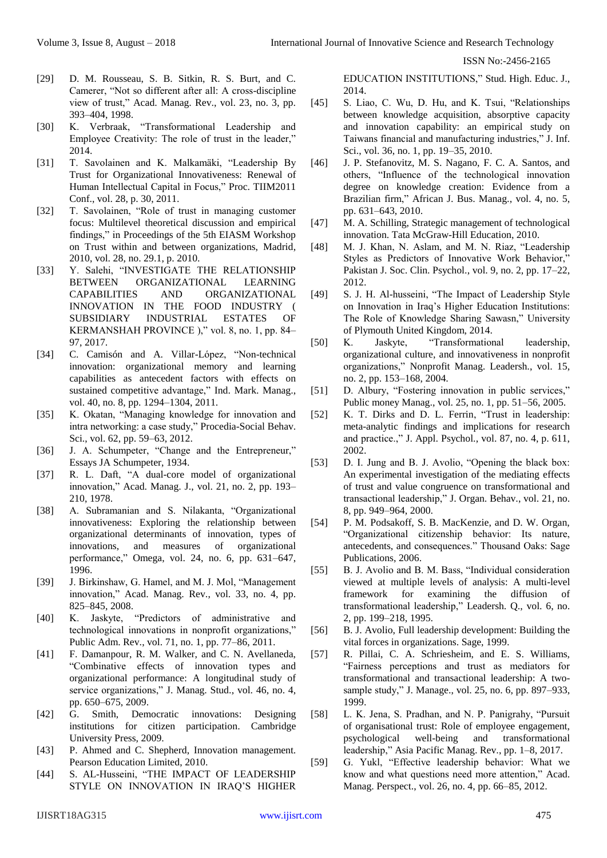- [29] D. M. Rousseau, S. B. Sitkin, R. S. Burt, and C. Camerer, "Not so different after all: A cross-discipline view of trust," Acad. Manag. Rev., vol. 23, no. 3, pp. 393–404, 1998.
- [30] K. Verbraak, "Transformational Leadership and Employee Creativity: The role of trust in the leader," 2014.
- [31] T. Savolainen and K. Malkamäki, "Leadership By Trust for Organizational Innovativeness: Renewal of Human Intellectual Capital in Focus," Proc. TIIM2011 Conf., vol. 28, p. 30, 2011.
- [32] T. Savolainen, "Role of trust in managing customer focus: Multilevel theoretical discussion and empirical findings," in Proceedings of the 5th EIASM Workshop on Trust within and between organizations, Madrid, 2010, vol. 28, no. 29.1, p. 2010.
- [33] Y. Salehi, "INVESTIGATE THE RELATIONSHIP BETWEEN ORGANIZATIONAL LEARNING CAPABILITIES AND ORGANIZATIONAL INNOVATION IN THE FOOD INDUSTRY ( SUBSIDIARY INDUSTRIAL ESTATES OF KERMANSHAH PROVINCE )," vol. 8, no. 1, pp. 84– 97, 2017.
- [34] C. Camisón and A. Villar-López, "Non-technical innovation: organizational memory and learning capabilities as antecedent factors with effects on sustained competitive advantage," Ind. Mark. Manag., vol. 40, no. 8, pp. 1294–1304, 2011.
- [35] K. Okatan, "Managing knowledge for innovation and intra networking: a case study," Procedia-Social Behav. Sci., vol. 62, pp. 59–63, 2012.
- [36] J. A. Schumpeter, "Change and the Entrepreneur," Essays JA Schumpeter, 1934.
- [37] R. L. Daft, "A dual-core model of organizational innovation," Acad. Manag. J., vol. 21, no. 2, pp. 193– 210, 1978.
- [38] A. Subramanian and S. Nilakanta, "Organizational innovativeness: Exploring the relationship between organizational determinants of innovation, types of innovations, and measures of organizational performance," Omega, vol. 24, no. 6, pp. 631–647, 1996.
- [39] J. Birkinshaw, G. Hamel, and M. J. Mol, "Management innovation," Acad. Manag. Rev., vol. 33, no. 4, pp. 825–845, 2008.
- [40] K. Jaskyte, "Predictors of administrative and technological innovations in nonprofit organizations," Public Adm. Rev., vol. 71, no. 1, pp. 77–86, 2011.
- [41] F. Damanpour, R. M. Walker, and C. N. Avellaneda, "Combinative effects of innovation types and organizational performance: A longitudinal study of service organizations," J. Manag. Stud., vol. 46, no. 4, pp. 650–675, 2009.
- [42] G. Smith, Democratic innovations: Designing institutions for citizen participation. Cambridge University Press, 2009.
- [43] P. Ahmed and C. Shepherd, Innovation management. Pearson Education Limited, 2010.
- [44] S. AL-Husseini, "THE IMPACT OF LEADERSHIP STYLE ON INNOVATION IN IRAQ'S HIGHER

EDUCATION INSTITUTIONS," Stud. High. Educ. J., 2014.

- [45] S. Liao, C. Wu, D. Hu, and K. Tsui, "Relationships between knowledge acquisition, absorptive capacity and innovation capability: an empirical study on Taiwans financial and manufacturing industries," J. Inf. Sci., vol. 36, no. 1, pp. 19–35, 2010.
- [46] J. P. Stefanovitz, M. S. Nagano, F. C. A. Santos, and others, "Influence of the technological innovation degree on knowledge creation: Evidence from a Brazilian firm," African J. Bus. Manag., vol. 4, no. 5, pp. 631–643, 2010.
- [47] M. A. Schilling, Strategic management of technological innovation. Tata McGraw-Hill Education, 2010.
- [48] M. J. Khan, N. Aslam, and M. N. Riaz, "Leadership Styles as Predictors of Innovative Work Behavior," Pakistan J. Soc. Clin. Psychol., vol. 9, no. 2, pp. 17–22, 2012.
- [49] S. J. H. Al-husseini, "The Impact of Leadership Style on Innovation in Iraq's Higher Education Institutions: The Role of Knowledge Sharing Sawasn," University of Plymouth United Kingdom, 2014.
- [50] K. Jaskyte, "Transformational leadership, organizational culture, and innovativeness in nonprofit organizations," Nonprofit Manag. Leadersh., vol. 15, no. 2, pp. 153–168, 2004.
- [51] D. Albury, "Fostering innovation in public services," Public money Manag., vol. 25, no. 1, pp. 51–56, 2005.
- [52] K. T. Dirks and D. L. Ferrin, "Trust in leadership: meta-analytic findings and implications for research and practice.," J. Appl. Psychol., vol. 87, no. 4, p. 611, 2002.
- [53] D. I. Jung and B. J. Avolio, "Opening the black box: An experimental investigation of the mediating effects of trust and value congruence on transformational and transactional leadership," J. Organ. Behav., vol. 21, no. 8, pp. 949–964, 2000.
- [54] P. M. Podsakoff, S. B. MacKenzie, and D. W. Organ, "Organizational citizenship behavior: Its nature, antecedents, and consequences." Thousand Oaks: Sage Publications, 2006.
- [55] B. J. Avolio and B. M. Bass, "Individual consideration viewed at multiple levels of analysis: A multi-level framework for examining the diffusion of transformational leadership," Leadersh. Q., vol. 6, no. 2, pp. 199–218, 1995.
- [56] B. J. Avolio, Full leadership development: Building the vital forces in organizations. Sage, 1999.
- [57] R. Pillai, C. A. Schriesheim, and E. S. Williams, "Fairness perceptions and trust as mediators for transformational and transactional leadership: A twosample study," J. Manage., vol. 25, no. 6, pp. 897–933, 1999.
- [58] L. K. Jena, S. Pradhan, and N. P. Panigrahy, "Pursuit of organisational trust: Role of employee engagement, psychological well-being and transformational leadership," Asia Pacific Manag. Rev., pp. 1–8, 2017.
- [59] G. Yukl, "Effective leadership behavior: What we know and what questions need more attention," Acad. Manag. Perspect., vol. 26, no. 4, pp. 66–85, 2012.